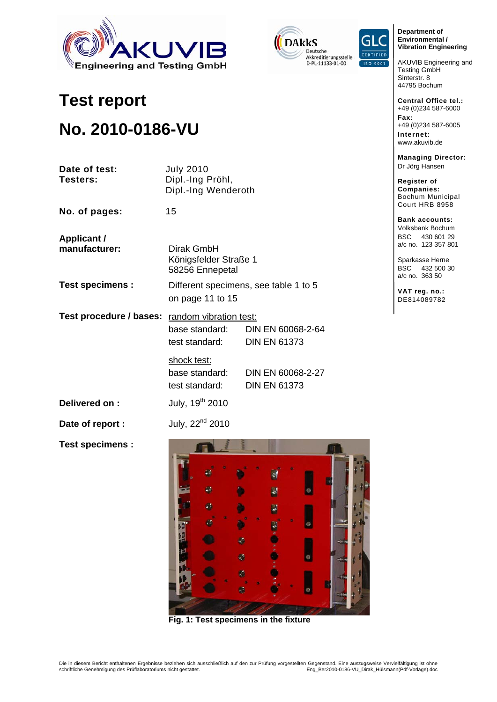





**Department of Environmental / Vibration Engineering** 

AKUVIB Engineering and Testing GmbH Sinterstr. 8 44795 Bochum

**Central Office tel.:**  +49 (0)234 587-6000 **Fax:**  +49 (0)234 587-6005 **Internet:** 

www.akuvib.de

**Managing Director:**  Dr Jörg Hansen

**Register of Companies:** Bochum Municipal Court HRB 8958

**Bank accounts:**  Volksbank Bochum BSC 430 601 29 a/c no. 123 357 801

Sparkasse Herne BSC 432 500 30 a/c no. 363 50

**VAT reg. no.:**  DE814089782

# **No. 2010-0186-VU**

**Test report** 

| Date of test:<br>Testers:           | <b>July 2010</b><br>Dipl.-Ing Pröhl,<br>Dipl.-Ing Wenderoth               |                                          |
|-------------------------------------|---------------------------------------------------------------------------|------------------------------------------|
| No. of pages:                       | 15                                                                        |                                          |
| <b>Applicant /</b><br>manufacturer: | Dirak GmbH<br>Königsfelder Straße 1<br>58256 Ennepetal                    |                                          |
| <b>Test specimens:</b>              | Different specimens, see table 1 to 5<br>on page 11 to 15                 |                                          |
| Test procedure / bases:             | random vibration test:<br>base standard:<br>test standard:<br>shock test: | DIN EN 60068-2-64<br><b>DIN EN 61373</b> |
|                                     | base standard:<br>test standard:                                          | DIN EN 60068-2-27<br><b>DIN EN 61373</b> |
| Delivered on:                       | July, 19 <sup>th</sup> 2010                                               |                                          |
| Date of report :                    | July, 22 <sup>nd</sup> 2010                                               |                                          |
| <b>Test specimens:</b>              |                                                                           |                                          |



**Fig. 1: Test specimens in the fixture**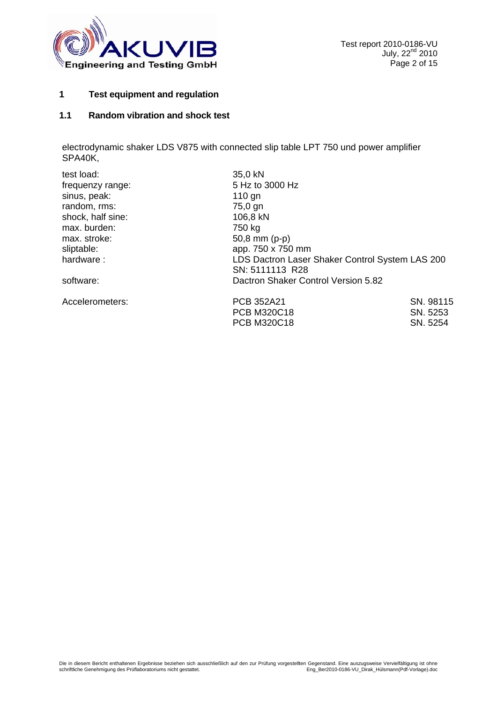

#### **1 Test equipment and regulation**

### **1.1 Random vibration and shock test**

electrodynamic shaker LDS V875 with connected slip table LPT 750 und power amplifier SPA40K,

| test load:        | 35,0 kN                                         |           |
|-------------------|-------------------------------------------------|-----------|
| frequenzy range:  | 5 Hz to 3000 Hz                                 |           |
| sinus, peak:      | $110$ gn                                        |           |
| random, rms:      | 75,0 gn                                         |           |
| shock, half sine: | 106,8 kN                                        |           |
| max. burden:      | 750 kg                                          |           |
| max. stroke:      | $50,8 \, \text{mm}$ (p-p)                       |           |
| sliptable:        | app. 750 x 750 mm                               |           |
| hardware:         | LDS Dactron Laser Shaker Control System LAS 200 |           |
|                   | SN: 5111113 R28                                 |           |
| software:         | Dactron Shaker Control Version 5.82             |           |
| Accelerometers:   | PCB 352A21                                      | SN. 98115 |
|                   | <b>PCB M320C18</b>                              | SN. 5253  |
|                   | <b>PCB M320C18</b>                              | SN. 5254  |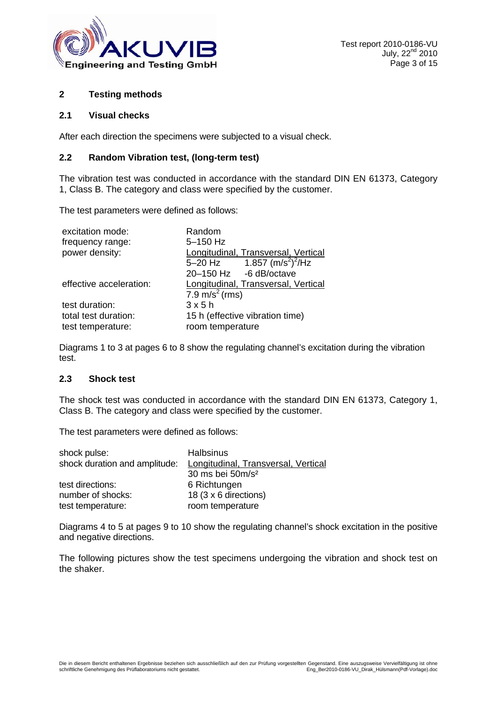

#### **2 Testing methods**

#### **2.1 Visual checks**

After each direction the specimens were subjected to a visual check.

#### **2.2 Random Vibration test, (long-term test)**

The vibration test was conducted in accordance with the standard DIN EN 61373, Category 1, Class B. The category and class were specified by the customer.

The test parameters were defined as follows:

| excitation mode:        | Random                                        |
|-------------------------|-----------------------------------------------|
| frequency range:        | 5-150 Hz                                      |
| power density:          | Longitudinal, Transversal, Vertical           |
|                         | 5-20 Hz $1.857 \, \text{(m/s}^2)^2/\text{Hz}$ |
|                         | 20-150 Hz -6 dB/octave                        |
| effective acceleration: | Longitudinal, Transversal, Vertical           |
|                         | 7.9 m/s <sup>2</sup> (rms)                    |
| test duration:          | 3x5h                                          |
| total test duration:    | 15 h (effective vibration time)               |
| test temperature:       | room temperature                              |

Diagrams 1 to 3 at pages 6 to 8 show the regulating channel's excitation during the vibration test.

#### **2.3 Shock test**

The shock test was conducted in accordance with the standard DIN EN 61373, Category 1, Class B. The category and class were specified by the customer.

The test parameters were defined as follows:

| shock pulse:                  | <b>Halbsinus</b>                    |
|-------------------------------|-------------------------------------|
| shock duration and amplitude: | Longitudinal, Transversal, Vertical |
|                               | 30 ms bei 50m/s <sup>2</sup>        |
| test directions:              | 6 Richtungen                        |
| number of shocks:             | 18 (3 x 6 directions)               |
| test temperature:             | room temperature                    |

Diagrams 4 to 5 at pages 9 to 10 show the regulating channel's shock excitation in the positive and negative directions.

The following pictures show the test specimens undergoing the vibration and shock test on the shaker.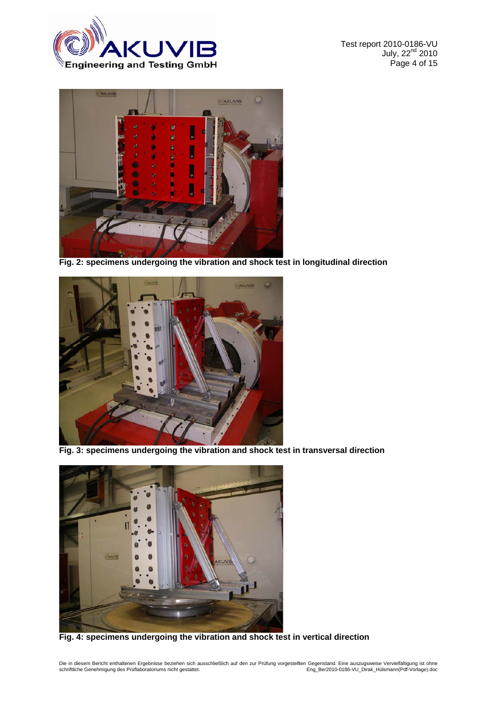

Test report 2010-0186-VU July, 22<sup>nd</sup> 2010 Page 4 of 15



**Fig. 2: specimens undergoing the vibration and shock test in longitudinal direction** 



**Fig. 3: specimens undergoing the vibration and shock test in transversal direction** 



**Fig. 4: specimens undergoing the vibration and shock test in vertical direction**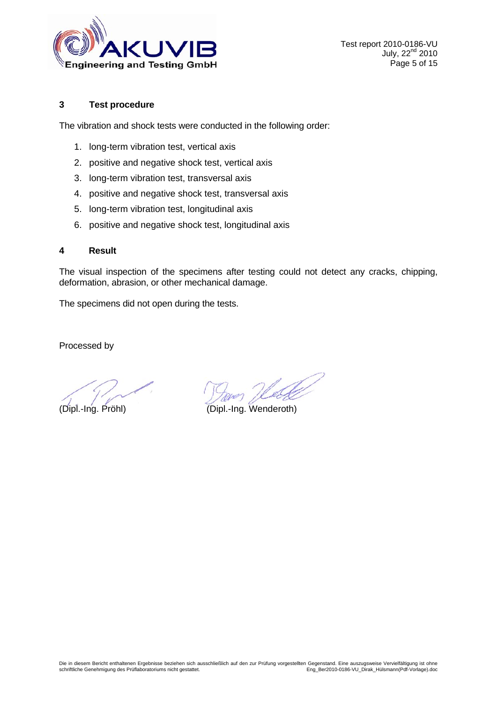

#### **3 Test procedure**

The vibration and shock tests were conducted in the following order:

- 1. long-term vibration test, vertical axis
- 2. positive and negative shock test, vertical axis
- 3. long-term vibration test, transversal axis
- 4. positive and negative shock test, transversal axis
- 5. long-term vibration test, longitudinal axis
- 6. positive and negative shock test, longitudinal axis

#### **4 Result**

The visual inspection of the specimens after testing could not detect any cracks, chipping, deformation, abrasion, or other mechanical damage.

The specimens did not open during the tests.

Processed by

(Dipl.-Ing. Pröhl) (Dipl.-Ing. Wenderoth)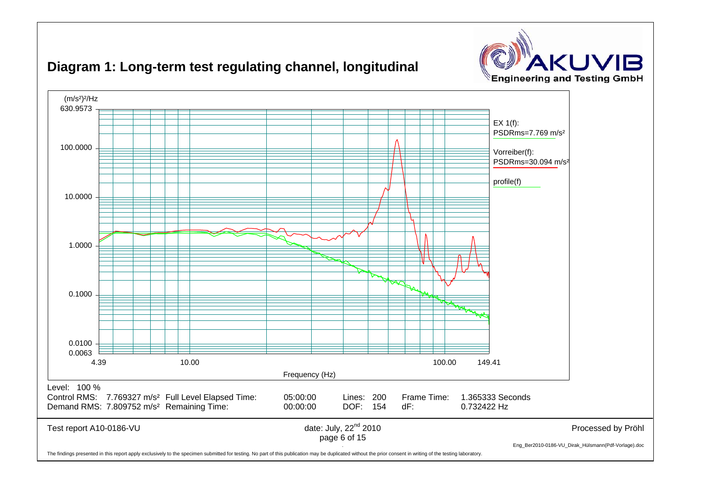



## **Diagram 1: Long-term test regulating channel, longitudinal**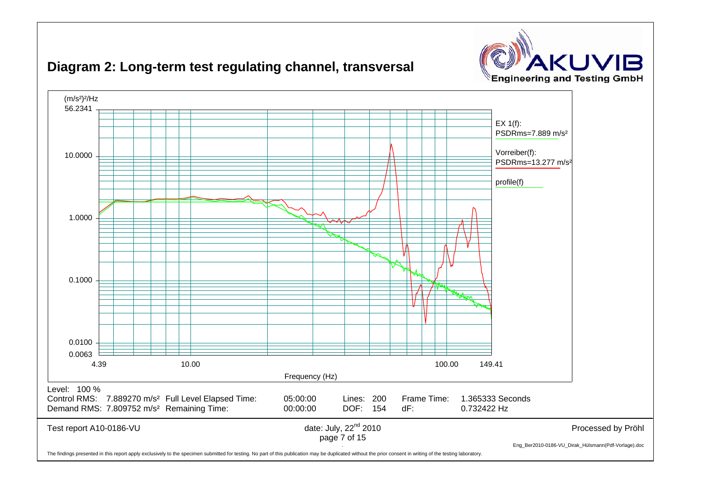



## **Diagram 2: Long-term test regulating channel, transversal**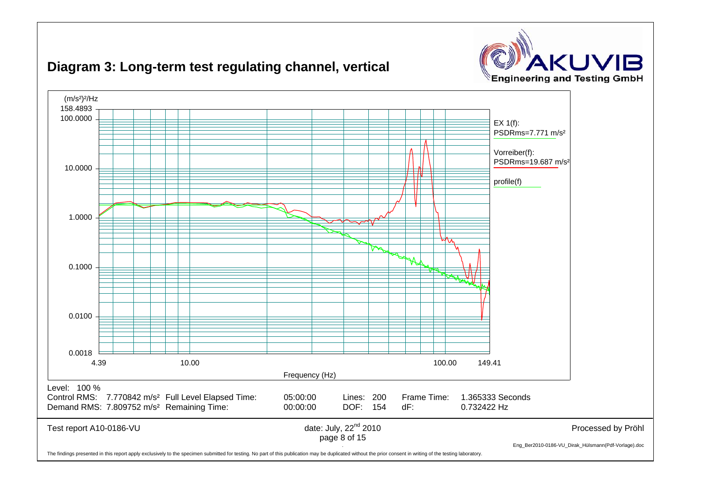



## **Diagram 3: Long-term test regulating channel, vertical**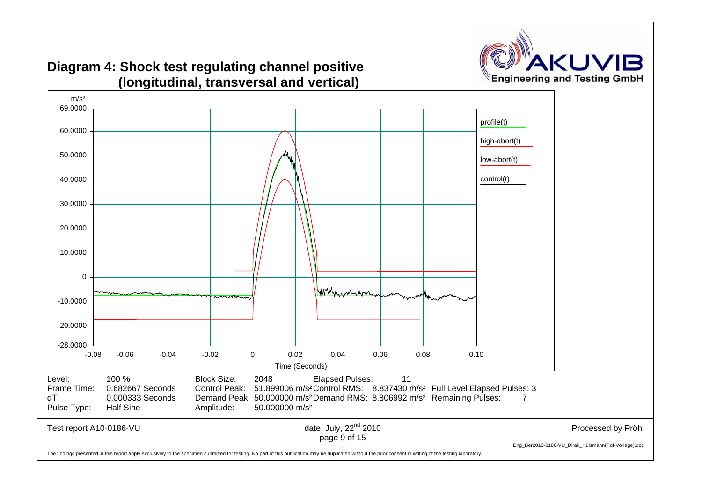

## **Diagram 4: Shock test regulating channel positive (longitudinal, transversal and vertical)**

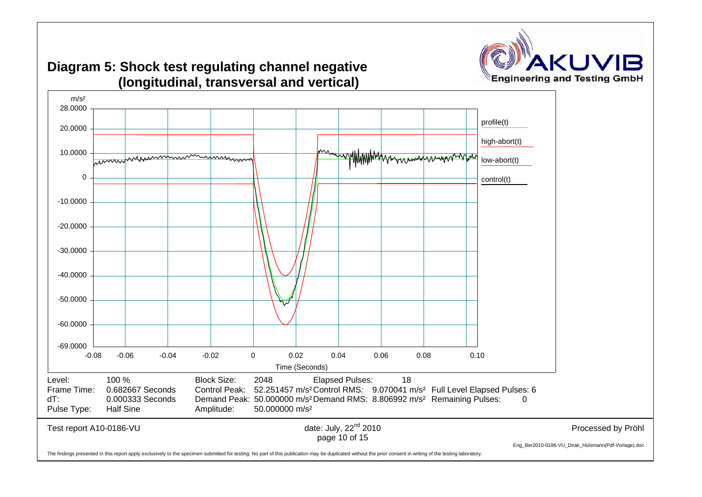

# **Diagram 5: Shock test regulating channel negative (longitudinal, transversal and vertical)**

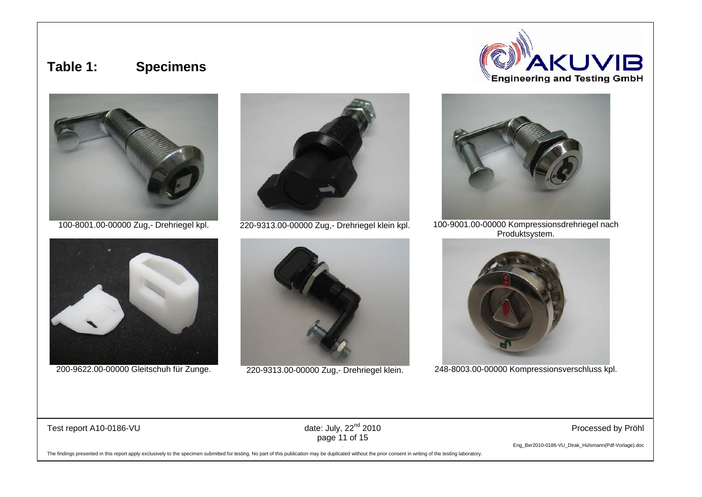## **Table 1: Specimens**













100-8001.00-00000 Zug,- Drehriegel kpl. 220-9313.00-00000 Zug,- Drehriegel klein kpl. 100-9001.00-00000 Kompressionsdrehriegel nach Produktsystem.



200-9622.00-00000 Gleitschuh für Zunge. 220-9313.00-00000 Zug,- Drehriegel klein. 248-8003.00-00000 Kompressionsverschluss kpl.

Test report A10-0186-VU example and the state of date: July, 22<sup>nd</sup> 2010 example and the processed by Pröhl Processed by Pröhl page 11 of 15

. Eng\_Ber2010-0186-VU\_Dirak\_Hülsmann(Pdf-Vorlage).doc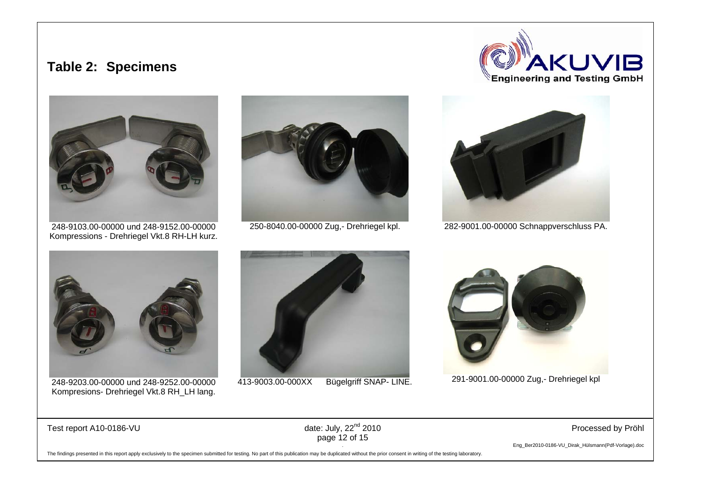## **Table 2: Specimens**





248-9103.00-00000 und 248-9152.00-00000 Kompressions - Drehriegel Vkt.8 RH-LH kurz.





250-8040.00-00000 Zug,- Drehriegel kpl. 282-9001.00-00000 Schnappverschluss PA.



248-9203.00-00000 und 248-9252.00-00000 Kompresions- Drehriegel Vkt.8 RH\_LH lang.





413-9003.00-000XX Bügelgriff SNAP- LINE. 291-9001.00-00000 Zug,- Drehriegel kpl

Test report A10-0186-VU example and the state of date: July, 22<sup>nd</sup> 2010 example and the processed by Pröhl Processed by Pröhl page 12 of 15

. Eng\_Ber2010-0186-VU\_Dirak\_Hülsmann(Pdf-Vorlage).doc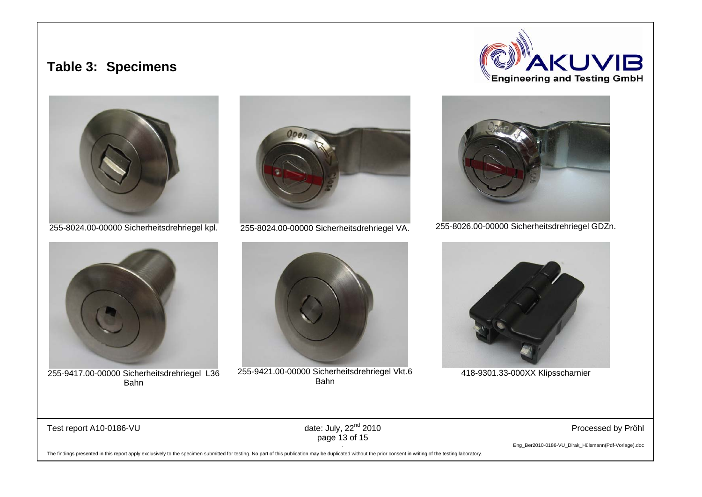## **Table 3: Specimens**







255-9417.00-00000 Sicherheitsdrehriegel L36 Bahn





255-9421.00-00000 Sicherheitsdrehriegel Vkt.6 Bahn



255-8024.00-00000 Sicherheitsdrehriegel kpl. 255-8024.00-00000 Sicherheitsdrehriegel VA. 255-8026.00-00000 Sicherheitsdrehriegel GDZn.



418-9301.33-000XX Klipsscharnier

Test report A10-0186-VU example and the state of date: July, 22<sup>nd</sup> 2010 **Processed by Processed by Profil** 

page 13 of 15

. Eng\_Ber2010-0186-VU\_Dirak\_Hülsmann(Pdf-Vorlage).doc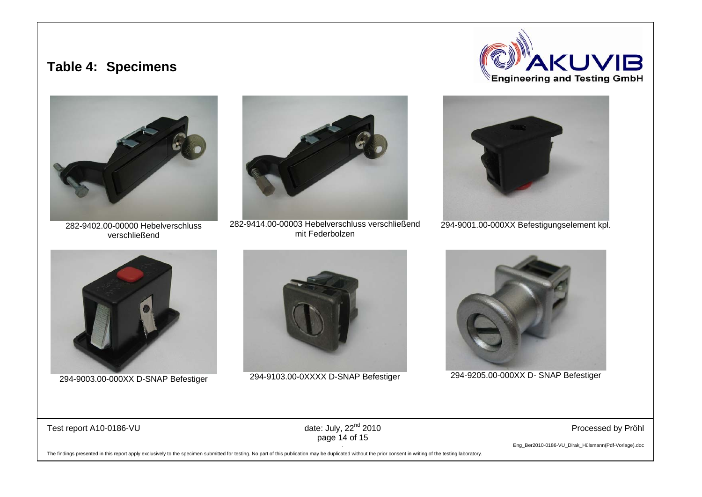## **Table 4: Specimens**





282-9402.00-00000 Hebelverschluss verschließend



282-9414.00-00003 Hebelverschluss verschließend mit Federbolzen



294-9001.00-000XX Befestigungselement kpl.





294-9003.00-000XX D-SNAP Befestiger 294-9103.00-0XXXX D-SNAP Befestiger 294-9205.00-000XX D- SNAP Befestiger



Test report A10-0186-VU example and the state of date: July, 22<sup>nd</sup> 2010 **Processed by Processed by Profil** 

page 14 of 15

. Eng\_Ber2010-0186-VU\_Dirak\_Hülsmann(Pdf-Vorlage).doc